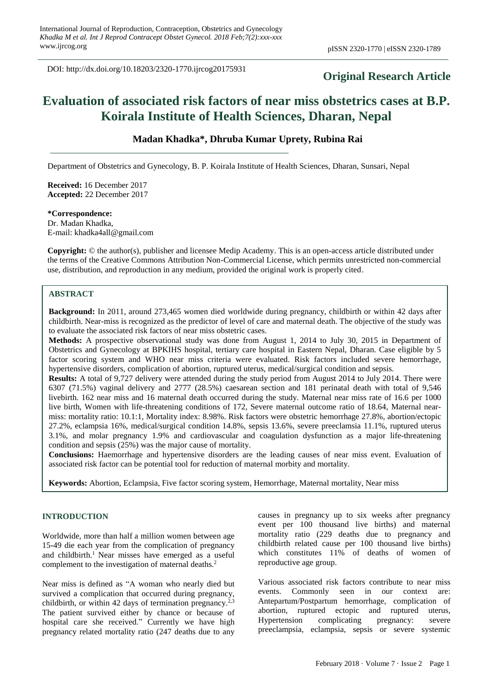DOI: http://dx.doi.org/10.18203/2320-1770.ijrcog20175931

## **Original Research Article**

# **Evaluation of associated risk factors of near miss obstetrics cases at B.P. Koirala Institute of Health Sciences, Dharan, Nepal**

## **Madan Khadka\*, Dhruba Kumar Uprety, Rubina Rai**

Department of Obstetrics and Gynecology, B. P. Koirala Institute of Health Sciences, Dharan, Sunsari, Nepal

**Received:** 16 December 2017 **Accepted:** 22 December 2017

**\*Correspondence:** Dr. Madan Khadka, E-mail: khadka4all@gmail.com

**Copyright:** © the author(s), publisher and licensee Medip Academy. This is an open-access article distributed under the terms of the Creative Commons Attribution Non-Commercial License, which permits unrestricted non-commercial use, distribution, and reproduction in any medium, provided the original work is properly cited.

## **ABSTRACT**

**Background:** In 2011, around 273,465 women died worldwide during pregnancy, childbirth or within 42 days after childbirth. Near-miss is recognized as the predictor of level of care and maternal death. The objective of the study was to evaluate the associated risk factors of near miss obstetric cases.

**Methods:** A prospective observational study was done from August 1, 2014 to July 30, 2015 in Department of Obstetrics and Gynecology at BPKIHS hospital, tertiary care hospital in Eastern Nepal, Dharan. Case eligible by 5 factor scoring system and WHO near miss criteria were evaluated. Risk factors included severe hemorrhage, hypertensive disorders, complication of abortion, ruptured uterus, medical/surgical condition and sepsis.

**Results:** A total of 9,727 delivery were attended during the study period from August 2014 to July 2014. There were 6307 (71.5%) vaginal delivery and 2777 (28.5%) caesarean section and 181 perinatal death with total of 9,546 livebirth. 162 near miss and 16 maternal death occurred during the study. Maternal near miss rate of 16.6 per 1000 live birth, Women with life-threatening conditions of 172, Severe maternal outcome ratio of 18.64, Maternal nearmiss: mortality ratio: 10.1:1, Mortality index: 8.98%. Risk factors were obstetric hemorrhage 27.8%, abortion/ectopic 27.2%, eclampsia 16%, medical/surgical condition 14.8%, sepsis 13.6%, severe preeclamsia 11.1%, ruptured uterus 3.1%, and molar pregnancy 1.9% and cardiovascular and coagulation dysfunction as a major life-threatening condition and sepsis (25%) was the major cause of mortality.

**Conclusions:** Haemorrhage and hypertensive disorders are the leading causes of near miss event. Evaluation of associated risk factor can be potential tool for reduction of maternal morbity and mortality.

**Keywords:** Abortion, Eclampsia, Five factor scoring system, Hemorrhage, Maternal mortality, Near miss

#### **INTRODUCTION**

Worldwide, more than half a million women between age 15-49 die each year from the complication of pregnancy and childbirth. <sup>1</sup> Near misses have emerged as a useful complement to the investigation of maternal deaths. 2

Near miss is defined as "A woman who nearly died but survived a complication that occurred during pregnancy, childbirth, or within 42 days of termination pregnancy.<sup>2,3</sup> The patient survived either by chance or because of hospital care she received." Currently we have high pregnancy related mortality ratio (247 deaths due to any causes in pregnancy up to six weeks after pregnancy event per 100 thousand live births) and maternal mortality ratio (229 deaths due to pregnancy and childbirth related cause per 100 thousand live births) which constitutes 11% of deaths of women of reproductive age group.

Various associated risk factors contribute to near miss events. Commonly seen in our context are: Antepartum/Postpartum hemorrhage, complication of abortion, ruptured ectopic and ruptured uterus, Hypertension complicating pregnancy: severe preeclampsia, eclampsia, sepsis or severe systemic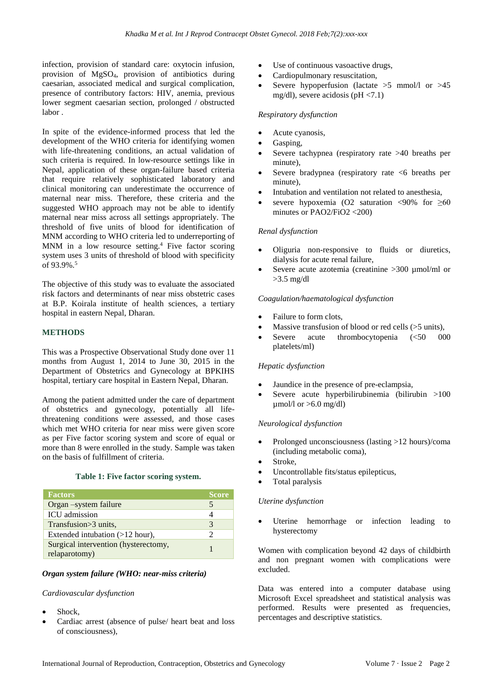infection, provision of standard care: oxytocin infusion, provision of MgSO4, provision of antibiotics during caesarian, associated medical and surgical complication, presence of contributory factors: HIV, anemia, previous lower segment caesarian section, prolonged / obstructed labor .

In spite of the evidence-informed process that led the development of the WHO criteria for identifying women with life-threatening conditions, an actual validation of such criteria is required. In low-resource settings like in Nepal, application of these organ-failure based criteria that require relatively sophisticated laboratory and clinical monitoring can underestimate the occurrence of maternal near miss. Therefore, these criteria and the suggested WHO approach may not be able to identify maternal near miss across all settings appropriately. The threshold of five units of blood for identification of MNM according to WHO criteria led to underreporting of MNM in a low resource setting. <sup>4</sup> Five factor scoring system uses 3 units of threshold of blood with specificity of 93.9%.<sup>5</sup>

The objective of this study was to evaluate the associated risk factors and determinants of near miss obstetric cases at B.P. Koirala institute of health sciences, a tertiary hospital in eastern Nepal, Dharan.

#### **METHODS**

This was a Prospective Observational Study done over 11 months from August 1, 2014 to June 30, 2015 in the Department of Obstetrics and Gynecology at BPKIHS hospital, tertiary care hospital in Eastern Nepal, Dharan.

Among the patient admitted under the care of department of obstetrics and gynecology, potentially all lifethreatening conditions were assessed, and those cases which met WHO criteria for near miss were given score as per Five factor scoring system and score of equal or more than 8 were enrolled in the study. Sample was taken on the basis of fulfillment of criteria.

## **Table 1: Five factor scoring system.**

| <b>Factors</b>                                        | <b>Score</b> |
|-------------------------------------------------------|--------------|
| Organ –system failure                                 |              |
| ICU admission                                         |              |
| Transfusion > 3 units.                                |              |
| Extended intubation (>12 hour),                       |              |
| Surgical intervention (hysterectomy,<br>relaparotomy) |              |

#### *Organ system failure (WHO: near-miss criteria)*

#### *Cardiovascular dysfunction*

- Shock,
- Cardiac arrest (absence of pulse/ heart beat and loss of consciousness),
- Use of continuous vasoactive drugs,
- Cardiopulmonary resuscitation,
- Severe hypoperfusion (lactate  $>5$  mmol/l or  $>45$ mg/dl), severe acidosis ( $pH < 7.1$ )

#### *Respiratory dysfunction*

- Acute cyanosis,
- Gasping,
- Severe tachypnea (respiratory rate >40 breaths per minute),
- Severe bradypnea (respiratory rate <6 breaths per minute),
- Intubation and ventilation not related to anesthesia,
- severe hypoxemia (O2 saturation <90% for  $\geq 60$ minutes or PAO2/FiO2 <200)

### *Renal dysfunction*

- Oliguria non-responsive to fluids or diuretics, dialysis for acute renal failure,
- Severe acute azotemia (creatinine >300 umol/ml or >3.5 mg/dl

#### *Coagulation/haematological dysfunction*

- Failure to form clots,
- Massive transfusion of blood or red cells (>5 units),
- Severe acute thrombocytopenia (<50 000 platelets/ml)

#### *Hepatic dysfunction*

- Jaundice in the presence of pre-eclampsia,
- Severe acute hyperbilirubinemia (bilirubin  $>100$ umol/l or  $>6.0$  mg/dl)

#### *Neurological dysfunction*

- Prolonged unconsciousness (lasting >12 hours)/coma (including metabolic coma),
- Stroke,
- Uncontrollable fits/status epilepticus,
- Total paralysis

#### *Uterine dysfunction*

Uterine hemorrhage or infection leading to hysterectomy

Women with complication beyond 42 days of childbirth and non pregnant women with complications were excluded.

Data was entered into a computer database using Microsoft Excel spreadsheet and statistical analysis was performed. Results were presented as frequencies, percentages and descriptive statistics.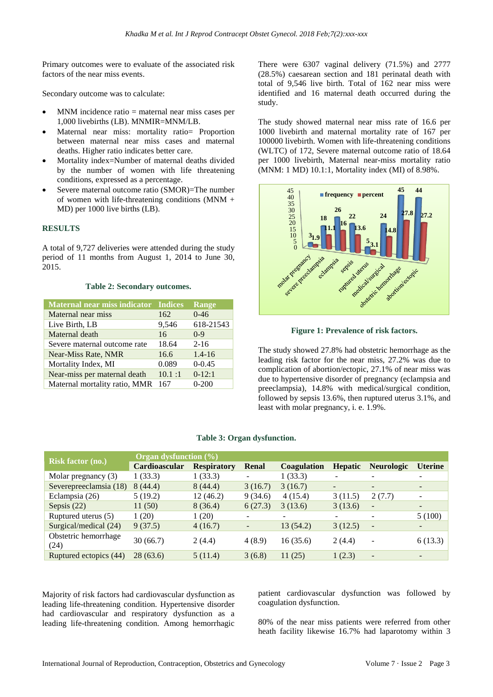Primary outcomes were to evaluate of the associated risk factors of the near miss events.

Secondary outcome was to calculate:

- $MNM$  incidence ratio = maternal near miss cases per 1,000 livebirths (LB). MNMIR=MNM/LB.
- Maternal near miss: mortality ratio= Proportion between maternal near miss cases and maternal deaths. Higher ratio indicates better care.
- Mortality index=Number of maternal deaths divided by the number of women with life threatening conditions, expressed as a percentage.
- Severe maternal outcome ratio (SMOR)=The number of women with life-threatening conditions (MNM + MD) per 1000 live births (LB).

#### **RESULTS**

A total of 9,727 deliveries were attended during the study period of 11 months from August 1, 2014 to June 30, 2015.

## **Table 2: Secondary outcomes.**

| <b>Maternal near miss indicator Indices</b> |        | <b>Range</b> |
|---------------------------------------------|--------|--------------|
| Maternal near miss                          | 162    | $0 - 46$     |
| Live Birth, LB                              | 9,546  | 618-21543    |
| Maternal death                              | 16     | $0-9$        |
| Severe maternal outcome rate                | 18.64  | $2 - 16$     |
| Near-Miss Rate, NMR                         | 16.6   | $1.4 - 16$   |
| Mortality Index, MI                         | 0.089  | $0 - 0.45$   |
| Near-miss per maternal death                | 10.1:1 | $0-12:1$     |
| Maternal mortality ratio, MMR               | 167    | $0-200$      |

There were 6307 vaginal delivery (71.5%) and 2777 (28.5%) caesarean section and 181 perinatal death with total of 9,546 live birth. Total of 162 near miss were identified and 16 maternal death occurred during the study.

The study showed maternal near miss rate of 16.6 per 1000 livebirth and maternal mortality rate of 167 per 100000 livebirth. Women with life-threatening conditions (WLTC) of 172, Severe maternal outcome ratio of 18.64 per 1000 livebirth, Maternal near-miss mortality ratio (MNM: 1 MD) 10.1:1, Mortality index (MI) of 8.98%.



**Figure 1: Prevalence of risk factors.**

The study showed 27.8% had obstetric hemorrhage as the leading risk factor for the near miss, 27.2% was due to complication of abortion/ectopic, 27.1% of near miss was due to hypertensive disorder of pregnancy (eclampsia and preeclampsia), 14.8% with medical/surgical condition, followed by sepsis 13.6%, then ruptured uterus 3.1%, and least with molar pregnancy, i. e. 1.9%.

|                              | Organ dysfunction (%) |                    |                          |                          |                          |                          |                          |
|------------------------------|-----------------------|--------------------|--------------------------|--------------------------|--------------------------|--------------------------|--------------------------|
| <b>Risk factor (no.)</b>     | Cardioascular         | <b>Respiratory</b> | Renal                    | <b>Coagulation</b>       | <b>Hepatic</b>           | <b>Neurologic</b>        | <b>Uterine</b>           |
| Molar pregnancy $(3)$        | 1(33.3)               | 1(33.3)            | -                        | 1(33.3)                  |                          |                          | $\overline{\phantom{m}}$ |
| Severepreeclamsia (18)       | 8(44.4)               | 8(44.4)            | 3(16.7)                  | 3(16.7)                  | $\overline{\phantom{0}}$ | $\qquad \qquad$          | ۰.                       |
| Eclampsia (26)               | 5(19.2)               | 12(46.2)           | 9(34.6)                  | 4(15.4)                  | 3(11.5)                  | 2(7.7)                   | $\overline{\phantom{a}}$ |
| Sepsis $(22)$                | 11(50)                | 8(36.4)            | 6(27.3)                  | 3(13.6)                  | 3(13.6)                  | $\overline{\phantom{a}}$ | $\overline{\phantom{a}}$ |
| Ruptured uterus (5)          | 1(20)                 | 1(20)              | -                        | $\overline{\phantom{0}}$ |                          | $\overline{\phantom{a}}$ | 5(100)                   |
| Surgical/medical (24)        | 9(37.5)               | 4(16.7)            | $\overline{\phantom{a}}$ | 13 (54.2)                | 3(12.5)                  | $-$                      | -                        |
| Obstetric hemorrhage<br>(24) | 30(66.7)              | 2(4.4)             | 4(8.9)                   | 16(35.6)                 | 2(4.4)                   |                          | 6(13.3)                  |
| Ruptured ectopics (44)       | 28(63.6)              | 5(11.4)            | 3(6.8)                   | 11(25)                   | 1(2.3)                   | $\overline{\phantom{a}}$ | $\overline{\phantom{0}}$ |

#### **Table 3: Organ dysfunction.**

Majority of risk factors had cardiovascular dysfunction as leading life-threatening condition. Hypertensive disorder had cardiovascular and respiratory dysfunction as a leading life-threatening condition. Among hemorrhagic

patient cardiovascular dysfunction was followed by coagulation dysfunction.

80% of the near miss patients were referred from other heath facility likewise 16.7% had laparotomy within 3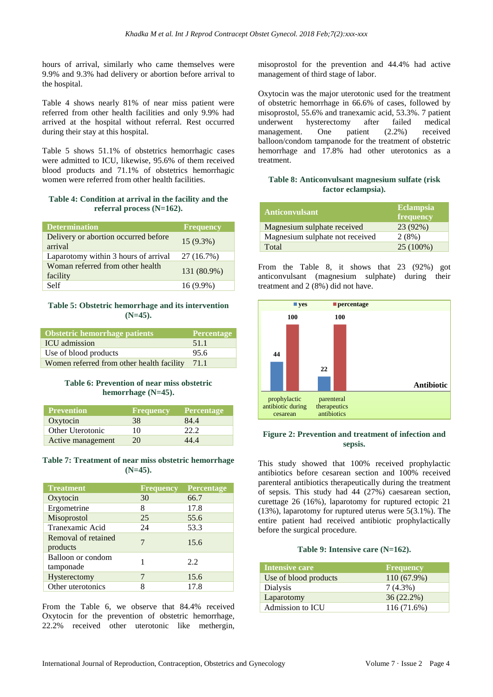hours of arrival, similarly who came themselves were 9.9% and 9.3% had delivery or abortion before arrival to the hospital.

Table 4 shows nearly 81% of near miss patient were referred from other health facilities and only 9.9% had arrived at the hospital without referral. Rest occurred during their stay at this hospital.

Table 5 shows 51.1% of obstetrics hemorrhagic cases were admitted to ICU, likewise, 95.6% of them received blood products and 71.1% of obstetrics hemorrhagic women were referred from other health facilities.

#### **Table 4: Condition at arrival in the facility and the referral process (N=162).**

| <b>Determination</b>                            | <b>Frequency</b> |
|-------------------------------------------------|------------------|
| Delivery or abortion occurred before<br>arrival | $15(9.3\%)$      |
| Laparotomy within 3 hours of arrival            | 27 (16.7%)       |
| Woman referred from other health<br>facility    | 131 (80.9%)      |
| Self                                            | $16(9.9\%)$      |

#### **Table 5: Obstetric hemorrhage and its intervention (N=45).**

| Obstetric hemorrhage patients             | <b>Percentage</b> |
|-------------------------------------------|-------------------|
| <b>ICU</b> admission                      | 51.1              |
| Use of blood products                     | 95.6              |
| Women referred from other health facility | 71.1              |

#### **Table 6: Prevention of near miss obstetric hemorrhage (N=45).**

| <b>Prevention</b> | <b>Frequency</b> | <b>Percentage</b> |
|-------------------|------------------|-------------------|
| Oxytocin          | 38               | 84.4              |
| Other Uterotonic  | 10               | 22.2              |
| Active management | 20               | 44.4              |

#### **Table 7: Treatment of near miss obstetric hemorrhage (N=45).**

| <b>Treatment</b>                | <b>Frequency</b> | Percentage |
|---------------------------------|------------------|------------|
| Oxytocin                        | 30               | 66.7       |
| Ergometrine                     | 8                | 17.8       |
| Misoprostol                     | 25               | 55.6       |
| Tranexamic Acid                 | 24               | 53.3       |
| Removal of retained<br>products | 7                | 15.6       |
| Balloon or condom<br>tamponade  |                  | 2.2.       |
| Hysterectomy                    |                  | 15.6       |
| Other uterotonics               | 8                | 17.8       |

From the Table 6, we observe that 84.4% received Oxytocin for the prevention of obstetric hemorrhage, 22.2% received other uterotonic like methergin,

misoprostol for the prevention and 44.4% had active management of third stage of labor.

Oxytocin was the major uterotonic used for the treatment of obstetric hemorrhage in 66.6% of cases, followed by misoprostol, 55.6% and tranexamic acid, 53.3%. 7 patient<br>underwent hysterectomy after failed medical underwent hysterectomy after failed medical management. One patient (2.2%) received balloon/condom tampanode for the treatment of obstetric hemorrhage and 17.8% had other uterotonics as a treatment.

## **Table 8: Anticonvulsant magnesium sulfate (risk factor eclampsia).**

| <b>Anticonvulsant</b>           | <b>Eclampsia</b><br>frequency |
|---------------------------------|-------------------------------|
| Magnesium sulphate received     | 23 (92%)                      |
| Magnesium sulphate not received | 2(8%)                         |
| Total                           | 25 (100%)                     |

From the Table 8, it shows that 23 (92%) got anticonvulsant (magnesium sulphate) during their treatment and 2 (8%) did not have.



## **Figure 2: Prevention and treatment of infection and sepsis.**

This study showed that 100% received prophylactic antibiotics before cesarean section and 100% received parenteral antibiotics therapeutically during the treatment of sepsis. This study had 44 (27%) caesarean section, curettage 26 (16%), laparotomy for ruptured ectopic 21 (13%), laparotomy for ruptured uterus were 5(3.1%). The entire patient had received antibiotic prophylactically before the surgical procedure.

#### **Table 9: Intensive care (N=162).**

| Intensive care        | <b>Frequency</b> |
|-----------------------|------------------|
| Use of blood products | 110 (67.9%)      |
| Dialysis              | $7(4.3\%)$       |
| Laparotomy            | $36(22.2\%)$     |
| Admission to ICU      | 116(71.6%)       |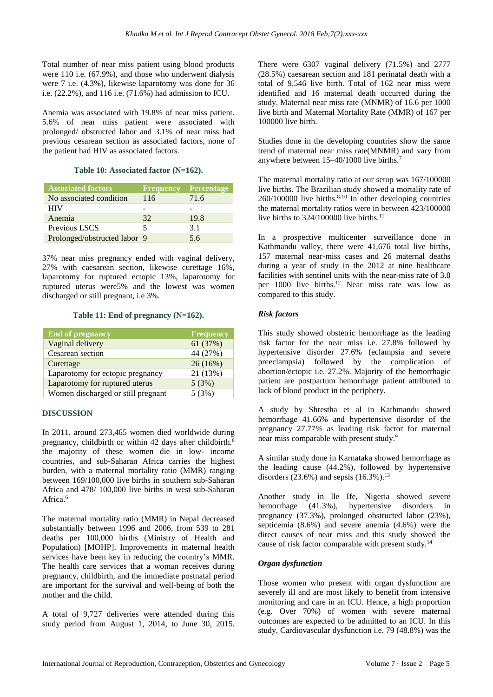Total number of near miss patient using blood products were 110 i.e. (67.9%), and those who underwent dialysis were 7 i.e. (4.3%), likewise laparotomy was done for 36 i.e. (22.2%), and 116 i.e. (71.6%) had admission to ICU.

Anemia was associated with 19.8% of near miss patient. 5.6% of near miss patient were associated with prolonged/ obstructed labor and 3.1% of near miss had previous cesarean section as associated factors, none of the patient had HIV as associated factors.

#### **Table 10: Associated factor (N=162).**

| <b>Associated factors</b>    | Frequency | <b>Percentage</b> |
|------------------------------|-----------|-------------------|
| No associated condition      | 116       | 71.6              |
| <b>HIV</b>                   |           |                   |
| Anemia                       | 32        | 19.8              |
| Previous LSCS                |           | 3.1               |
| Prolonged/obstructed labor 9 |           | 5.6               |

37% near miss pregnancy ended with vaginal delivery, 27% with caesarean section, likewise curettage 16%, laparotomy for ruptured ectopic 13%, laparotomy for ruptured uterus were5% and the lowest was women discharged or still pregnant, i.e 3%.

#### **Table 11: End of pregnancy (N=162).**

| <b>End of pregnancy</b>            | <b>Frequency</b> |
|------------------------------------|------------------|
| Vaginal delivery                   | 61 (37%)         |
| Cesarean section                   | 44 (27%)         |
| Curettage                          | 26(16%)          |
| Laparotomy for ectopic pregnancy   | 21 (13%)         |
| Laparotomy for ruptured uterus     | 5(3%)            |
| Women discharged or still pregnant | 5(3%)            |

#### **DISCUSSION**

In 2011, around 273,465 women died worldwide during pregnancy, childbirth or within 42 days after childbirth.<sup>6</sup> the majority of these women die in low- income countries, and sub-Saharan Africa carries the highest burden, with a maternal mortality ratio (MMR) ranging between 169/100,000 live births in southern sub-Saharan Africa and 478/ 100,000 live births in west sub-Saharan Africa.<sup>6</sup>

The maternal mortality ratio (MMR) in Nepal decreased substantially between 1996 and 2006, from 539 to 281 deaths per 100,000 births (Ministry of Health and Population) [MOHP]. Improvements in maternal health services have been key in reducing the country's MMR. The health care services that a woman receives during pregnancy, childbirth, and the immediate postnatal period are important for the survival and well-being of both the mother and the child.

A total of 9,727 deliveries were attended during this study period from August 1, 2014, to June 30, 2015. There were 6307 vaginal delivery (71.5%) and 2777 (28.5%) caesarean section and 181 perinatal death with a total of 9,546 live birth. Total of 162 near miss were identified and 16 maternal death occurred during the study. Maternal near miss rate (MNMR) of 16.6 per 1000 live birth and Maternal Mortality Rate (MMR) of 167 per 100000 live birth.

Studies done in the developing countries show the same trend of maternal near miss rate(MNMR) and vary from anywhere between 15–40/1000 live births.<sup>7</sup>

The maternal mortality ratio at our setup was 167/100000 live births. The Brazilian study showed a mortality rate of  $260/100000$  live births.<sup>8-10</sup> In other developing countries the maternal mortality ratios were in between 423/100000 live births to  $324/100000$  live births.<sup>11</sup>

In a prospective multicenter surveillance done in Kathmandu valley, there were 41,676 total live births, 157 maternal near-miss cases and 26 maternal deaths during a year of study in the 2012 at nine healthcare facilities with sentinel units with the near-miss rate of 3.8 per 1000 live births.<sup>12</sup> Near miss rate was low as compared to this study.

## *Risk factors*

This study showed obstetric hemorrhage as the leading risk factor for the near miss i.e. 27.8% followed by hypertensive disorder 27.6% (eclampsia and severe preeclampsia) followed by the complication of abortion/ectopic i.e. 27.2%. Majority of the hemorrhagic patient are postpartum hemorrhage patient attributed to lack of blood product in the periphery.

A study by Shrestha et al in Kathmandu showed hemorrhage 41.66% and hypertensive disorder of the pregnancy 27.77% as leading risk factor for maternal near miss comparable with present study.<sup>9</sup>

A similar study done in Karnataka showed hemorrhage as the leading cause (44.2%), followed by hypertensive disorders (23.6%) and sepsis  $(16.3\%)$ <sup>13</sup>

Another study in lle Ife, Nigeria showed severe hemorrhage (41.3%), hypertensive disorders in pregnancy (37.3%), prolonged obstructed labor (23%), septicemia (8.6%) and severe anemia (4.6%) were the direct causes of near miss and this study showed the cause of risk factor comparable with present study.<sup>14</sup>

#### *Organ dysfunction*

Those women who present with organ dysfunction are severely ill and are most likely to benefit from intensive monitoring and care in an ICU. Hence, a high proportion (e.g. Over 70%) of women with severe maternal outcomes are expected to be admitted to an ICU. In this study, Cardiovascular dysfunction i.e. 79 (48.8%) was the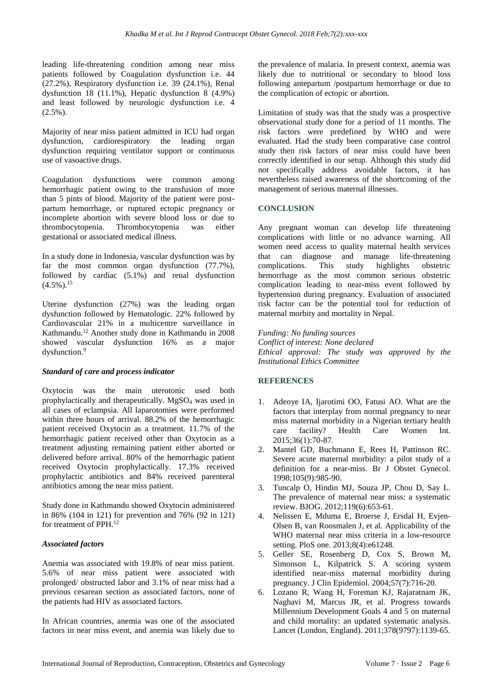leading life-threatening condition among near miss patients followed by Coagulation dysfunction i.e. 44 (27.2%), Respiratory dysfunction i.e. 39 (24.1%), Renal dysfunction 18 (11.1%), Hepatic dysfunction 8 (4.9%) and least followed by neurologic dysfunction i.e. 4  $(2.5\%)$ .

Majority of near miss patient admitted in ICU had organ dysfunction, cardiorespiratory the leading organ dysfunction requiring ventilator support or continuous use of vasoactive drugs.

Coagulation dysfunctions were common among hemorrhagic patient owing to the transfusion of more than 5 pints of blood. Majority of the patient were postpartum hemorrhage, or ruptured ectopic pregnancy or incomplete abortion with severe blood loss or due to thrombocytopenia. Thrombocytopenia was either gestational or associated medical illness.

In a study done in Indonesia, vascular dysfunction was by far the most common organ dysfunction  $(77.7\%)$ , followed by cardiac (5.1%) and renal dysfunction  $(4.5\%)$ <sup>15</sup>

Uterine dysfunction (27%) was the leading organ dysfunction followed by Hematologic. 22% followed by Cardiovascular 21% in a multicentre surveillance in Kathmandu.<sup>12</sup> Another study done in Kathmandu in 2008 showed vascular dysfunction 16% as a major dysfunction.<sup>9</sup>

#### *Standard of care and process indicator*

Oxytocin was the main uterotonic used both prophylactically and therapeutically. MgSO<sup>4</sup> was used in all cases of eclampsia. All laparotomies were performed within three hours of arrival. 88.2% of the hemorrhagic patient received Oxytocin as a treatment. 11.7% of the hemorrhagic patient received other than Oxytocin as a treatment adjusting remaining patient either aborted or delivered before arrival. 80% of the hemorrhagic patient received Oxytocin prophylactically. 17.3% received prophylactic antibiotics and 84% received parenteral antibiotics among the near miss patient.

Study done in Kathmandu showed Oxytocin administered in 86% (104 in 121) for prevention and 76% (92 in 121) for treatment of PPH.<sup>12</sup>

#### *Associated factors*

Anemia was associated with 19.8% of near miss patient. 5.6% of near miss patient were associated with prolonged/ obstructed labor and 3.1% of near miss had a previous cesarean section as associated factors, none of the patients had HIV as associated factors.

In African countries, anemia was one of the associated factors in near miss event, and anemia was likely due to the prevalence of malaria. In present context, anemia was likely due to nutritional or secondary to blood loss following antepartum /postpartum hemorrhage or due to the complication of ectopic or abortion.

Limitation of study was that the study was a prospective observational study done for a period of 11 months. The risk factors were predefined by WHO and were evaluated. Had the study been comparative case control study then risk factors of near miss could have been correctly identified in our setup. Although this study did not specifically address avoidable factors, it has nevertheless raised awareness of the shortcoming of the management of serious maternal illnesses.

#### **CONCLUSION**

Any pregnant woman can develop life threatening complications with little or no advance warning. All women need access to quality maternal health services that can diagnose and manage life-threatening complications. This study highlights obstetric hemorrhage as the most common serious obstetric complication leading to near-miss event followed by hypertension during pregnancy. Evaluation of associated risk factor can be the potential tool for reduction of maternal morbity and mortality in Nepal.

*Funding: No funding sources Conflict of interest: None declared Ethical approval: The study was approved by the Institutional Ethics Committee*

#### **REFERENCES**

- 1. Adeoye IA, Ijarotimi OO, Fatusi AO. What are the factors that interplay from normal pregnancy to near miss maternal morbidity in a Nigerian tertiary health care facility? Health Care Women Int. 2015;36(1):70-87.
- 2. Mantel GD, Buchmann E, Rees H, Pattinson RC. Severe acute maternal morbidity: a pilot study of a definition for a near-miss. Br J Obstet Gynecol. 1998;105(9):985-90.
- 3. Tuncalp O, Hindin MJ, Souza JP, Chou D, Say L. The prevalence of maternal near miss: a systematic review. BJOG. 2012;119(6):653-61.
- 4. Nelissen E, Mduma E, Broerse J, Ersdal H, Evjen-Olsen B, van Roosmalen J, et al. Applicability of the WHO maternal near miss criteria in a low-resource setting. PloS one. 2013;8(4):e61248.
- 5. Geller SE, Rosenberg D, Cox S, Brown M, Simonson L, Kilpatrick S. A scoring system identified near-miss maternal morbidity during pregnancy. J Clin Epidemiol. 2004;57(7):716-20.
- 6. Lozano R, Wang H, Foreman KJ, Rajaratnam JK, Naghavi M, Marcus JR, et al. Progress towards Millennium Development Goals 4 and 5 on maternal and child mortality: an updated systematic analysis. Lancet (London, England). 2011;378(9797):1139-65.